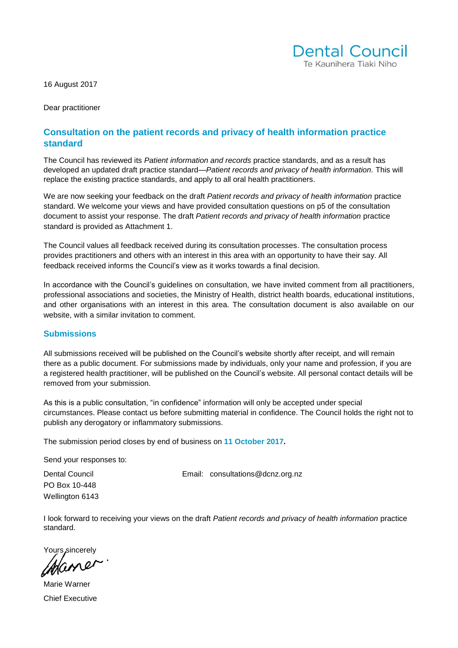

16 August 2017

Dear practitioner

## **Consultation on the patient records and privacy of health information practice standard**

The Council has reviewed its *Patient information and records* practice standards, and as a result has developed an updated draft practice standard—*Patient records and privacy of health information.* This will replace the existing practice standards, and apply to all oral health practitioners.

We are now seeking your feedback on the draft *Patient records and privacy of health information* practice standard. We welcome your views and have provided consultation questions on p5 of the consultation document to assist your response. The draft *Patient records and privacy of health information* practice standard is provided as Attachment 1.

The Council values all feedback received during its consultation processes. The consultation process provides practitioners and others with an interest in this area with an opportunity to have their say. All feedback received informs the Council's view as it works towards a final decision.

In accordance with the Council's guidelines on consultation, we have invited comment from all practitioners, professional associations and societies, the Ministry of Health, district health boards, educational institutions, and other organisations with an interest in this area. The consultation document is also available on our website, with a similar invitation to comment.

#### **Submissions**

All submissions received will be published on the Council's website shortly after receipt, and will remain there as a public document. For submissions made by individuals, only your name and profession, if you are a registered health practitioner, will be published on the Council's website. All personal contact details will be removed from your submission.

As this is a public consultation, "in confidence" information will only be accepted under special circumstances. Please contact us before submitting material in confidence. The Council holds the right not to publish any derogatory or inflammatory submissions.

The submission period closes by end of business on **11 October 2017.** 

Send your responses to:

PO Box 10-448 Wellington 6143

Dental Council **Email:** [consultations@dcnz.org.nz](mailto:consultations@dcnz.org.nz)

I look forward to receiving your views on the draft *Patient records and privacy of health information* practice standard.

Yours sincerely

Mame

Marie Warner Chief Executive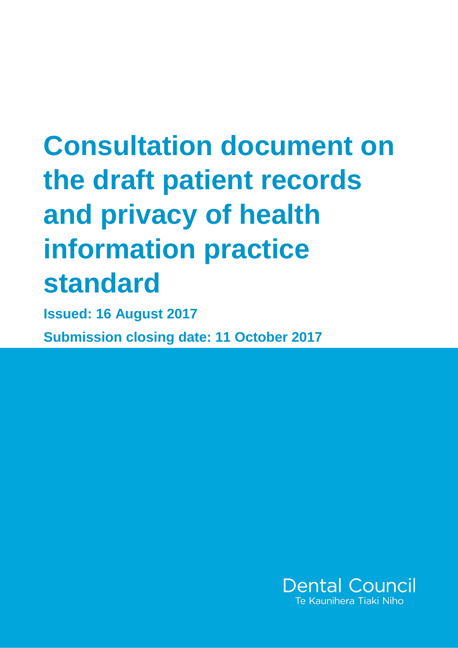# **Consultation document on the draft patient records and privacy of health information practice standard**

**Issued: 16 August 2017 Submission closing date: 11 October 2017**

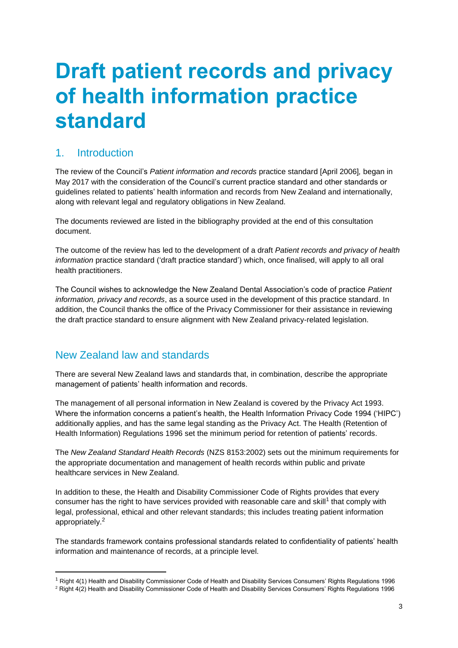## **Draft patient records and privacy of health information practice standard**

## 1. Introduction

The review of the Council's *Patient information and records* practice standard [April 2006]*,* began in May 2017 with the consideration of the Council's current practice standard and other standards or guidelines related to patients' health information and records from New Zealand and internationally, along with relevant legal and regulatory obligations in New Zealand.

The documents reviewed are listed in the bibliography provided at the end of this consultation document.

The outcome of the review has led to the development of a draft *Patient records and privacy of health information* practice standard ('draft practice standard') which, once finalised, will apply to all oral health practitioners.

The Council wishes to acknowledge the New Zealand Dental Association's code of practice *Patient information, privacy and records*, as a source used in the development of this practice standard. In addition, the Council thanks the office of the Privacy Commissioner for their assistance in reviewing the draft practice standard to ensure alignment with New Zealand privacy-related legislation.

## New Zealand law and standards

1

There are several New Zealand laws and standards that, in combination, describe the appropriate management of patients' health information and records.

The management of all personal information in New Zealand is covered by the Privacy Act 1993. Where the information concerns a patient's health, the Health Information Privacy Code 1994 ('HIPC') additionally applies, and has the same legal standing as the Privacy Act. The Health (Retention of Health Information) Regulations 1996 set the minimum period for retention of patients' records.

The *New Zealand Standard Health Records* (NZS 8153:2002) sets out the minimum requirements for the appropriate documentation and management of health records within public and private healthcare services in New Zealand.

In addition to these, the Health and Disability Commissioner Code of Rights provides that every consumer has the right to have services provided with reasonable care and skill<sup>1</sup> that comply with legal, professional, ethical and other relevant standards; this includes treating patient information appropriately.<sup>2</sup>

The standards framework contains professional standards related to confidentiality of patients' health information and maintenance of records, at a principle level.

<sup>1</sup> Right 4(1) Health and Disability Commissioner Code of Health and Disability Services Consumers' Rights Regulations 1996

<sup>&</sup>lt;sup>2</sup> Right 4(2) Health and Disability Commissioner Code of Health and Disability Services Consumers' Rights Regulations 1996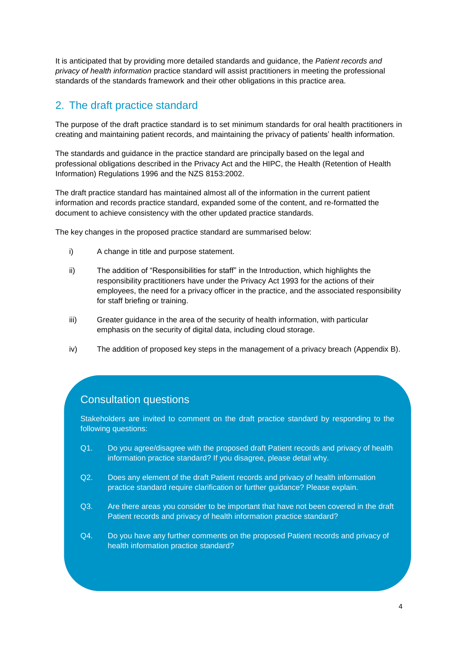It is anticipated that by providing more detailed standards and guidance, the *Patient records and privacy of health information* practice standard will assist practitioners in meeting the professional standards of the standards framework and their other obligations in this practice area.

## 2. The draft practice standard

The purpose of the draft practice standard is to set minimum standards for oral health practitioners in creating and maintaining patient records, and maintaining the privacy of patients' health information.

The standards and guidance in the practice standard are principally based on the legal and professional obligations described in the Privacy Act and the HIPC, the Health (Retention of Health Information) Regulations 1996 and the NZS 8153:2002.

The draft practice standard has maintained almost all of the information in the current patient information and records practice standard, expanded some of the content, and re-formatted the document to achieve consistency with the other updated practice standards.

The key changes in the proposed practice standard are summarised below:

- i) A change in title and purpose statement.
- ii) The addition of "Responsibilities for staff" in the Introduction, which highlights the responsibility practitioners have under the Privacy Act 1993 for the actions of their employees, the need for a privacy officer in the practice, and the associated responsibility for staff briefing or training.
- iii) Greater guidance in the area of the security of health information, with particular emphasis on the security of digital data, including cloud storage.
- iv) The addition of proposed key steps in the management of a privacy breach (Appendix B).

## Consultation questions

Stakeholders are invited to comment on the draft practice standard by responding to the following questions:

- Q1. Do you agree/disagree with the proposed draft Patient records and privacy of health information practice standard? If you disagree, please detail why.
- Q2. Does any element of the draft Patient records and privacy of health information practice standard require clarification or further guidance? Please explain.
- Q3. Are there areas you consider to be important that have not been covered in the draft Patient records and privacy of health information practice standard?
- Q4. Do you have any further comments on the proposed Patient records and privacy of health information practice standard?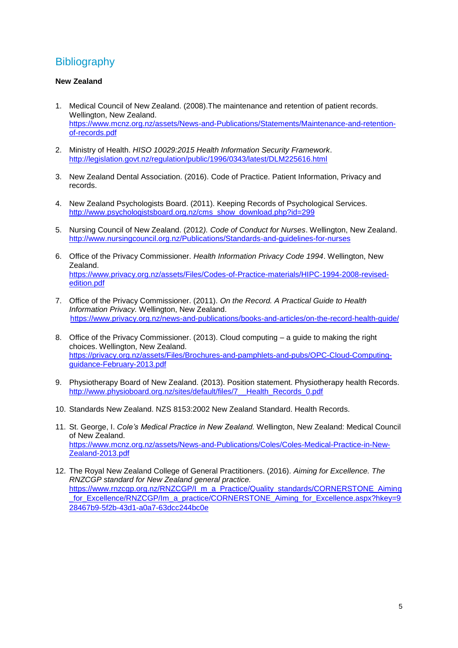## **Bibliography**

### **New Zealand**

- 1. Medical Council of New Zealand. (2008).The maintenance and retention of patient records. Wellington, New Zealand. [https://www.mcnz.org.nz/assets/News-and-Publications/Statements/Maintenance-and-retention](https://www.mcnz.org.nz/assets/News-and-Publications/Statements/Maintenance-and-retention-of-records.pdf)[of-records.pdf](https://www.mcnz.org.nz/assets/News-and-Publications/Statements/Maintenance-and-retention-of-records.pdf)
- 2. Ministry of Health. *HISO 10029:2015 Health Information Security Framework*. <http://legislation.govt.nz/regulation/public/1996/0343/latest/DLM225616.html>
- 3. New Zealand Dental Association. (2016). Code of Practice. Patient Information, Privacy and records.
- 4. New Zealand Psychologists Board. (2011). Keeping Records of Psychological Services. [http://www.psychologistsboard.org.nz/cms\\_show\\_download.php?id=299](http://www.psychologistsboard.org.nz/cms_show_download.php?id=299)
- 5. Nursing Council of New Zealand. (2012*). Code of Conduct for Nurses*. Wellington, New Zealand. <http://www.nursingcouncil.org.nz/Publications/Standards-and-guidelines-for-nurses>
- 6. Office of the Privacy Commissioner. *Health Information Privacy Code 1994*. Wellington, New Zealand. [https://www.privacy.org.nz/assets/Files/Codes-of-Practice-materials/HIPC-1994-2008-revised](https://www.privacy.org.nz/assets/Files/Codes-of-Practice-materials/HIPC-1994-2008-revised-edition.pdf)[edition.pdf](https://www.privacy.org.nz/assets/Files/Codes-of-Practice-materials/HIPC-1994-2008-revised-edition.pdf)
- 7. Office of the Privacy Commissioner. (2011). *On the Record. A Practical Guide to Health Information Privacy.* Wellington, New Zealand. <https://www.privacy.org.nz/news-and-publications/books-and-articles/on-the-record-health-guide/>
- 8. Office of the Privacy Commissioner. (2013). Cloud computing a guide to making the right choices. Wellington, New Zealand. [https://privacy.org.nz/assets/Files/Brochures-and-pamphlets-and-pubs/OPC-Cloud-Computing](https://privacy.org.nz/assets/Files/Brochures-and-pamphlets-and-pubs/OPC-Cloud-Computing-guidance-February-2013.pdf)[guidance-February-2013.pdf](https://privacy.org.nz/assets/Files/Brochures-and-pamphlets-and-pubs/OPC-Cloud-Computing-guidance-February-2013.pdf)
- 9. Physiotherapy Board of New Zealand. (2013). Position statement. Physiotherapy health Records. [http://www.physioboard.org.nz/sites/default/files/7\\_\\_Health\\_Records\\_0.pdf](http://www.physioboard.org.nz/sites/default/files/7__Health_Records_0.pdf)
- 10. Standards New Zealand. NZS 8153:2002 New Zealand Standard. Health Records.
- 11. St. George, I. *Cole's Medical Practice in New Zealand.* Wellington, New Zealand: Medical Council of New Zealand. [https://www.mcnz.org.nz/assets/News-and-Publications/Coles/Coles-Medical-Practice-in-New-](https://www.mcnz.org.nz/assets/News-and-Publications/Coles/Coles-Medical-Practice-in-New-Zealand-2013.pdf)[Zealand-2013.pdf](https://www.mcnz.org.nz/assets/News-and-Publications/Coles/Coles-Medical-Practice-in-New-Zealand-2013.pdf)
- 12. The Royal New Zealand College of General Practitioners. (2016). *Aiming for Excellence. The RNZCGP standard for New Zealand general practice.*  [https://www.rnzcgp.org.nz/RNZCGP/I\\_m\\_a\\_Practice/Quality\\_standards/CORNERSTONE\\_Aiming](https://www.rnzcgp.org.nz/RNZCGP/I_m_a_Practice/Quality_standards/CORNERSTONE_Aiming_for_Excellence/RNZCGP/Im_a_practice/CORNERSTONE_Aiming_for_Excellence.aspx?hkey=928467b9-5f2b-43d1-a0a7-63dcc244bc0e) for Excellence/RNZCGP/Im\_a\_practice/CORNERSTONE\_Aiming\_for\_Excellence.aspx?hkey=9 [28467b9-5f2b-43d1-a0a7-63dcc244bc0e](https://www.rnzcgp.org.nz/RNZCGP/I_m_a_Practice/Quality_standards/CORNERSTONE_Aiming_for_Excellence/RNZCGP/Im_a_practice/CORNERSTONE_Aiming_for_Excellence.aspx?hkey=928467b9-5f2b-43d1-a0a7-63dcc244bc0e)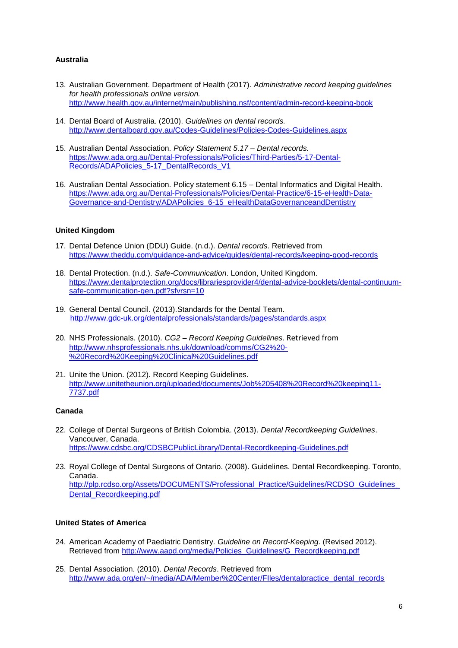### **Australia**

- 13. Australian Government. Department of Health (2017). *Administrative record keeping guidelines for health professionals online version.*  <http://www.health.gov.au/internet/main/publishing.nsf/content/admin-record-keeping-book>
- 14. Dental Board of Australia. (2010). *Guidelines on dental records.* <http://www.dentalboard.gov.au/Codes-Guidelines/Policies-Codes-Guidelines.aspx>
- 15. Australian Dental Association. *Policy Statement 5.17 – Dental records.* [https://www.ada.org.au/Dental-Professionals/Policies/Third-Parties/5-17-Dental-](https://www.ada.org.au/Dental-Professionals/Policies/Third-Parties/5-17-Dental-Records/ADAPolicies_5-17_DentalRecords_V1)[Records/ADAPolicies\\_5-17\\_DentalRecords\\_V1](https://www.ada.org.au/Dental-Professionals/Policies/Third-Parties/5-17-Dental-Records/ADAPolicies_5-17_DentalRecords_V1)
- 16. Australian Dental Association. Policy statement 6.15 Dental Informatics and Digital Health. [https://www.ada.org.au/Dental-Professionals/Policies/Dental-Practice/6-15-eHealth-Data-](https://www.ada.org.au/Dental-Professionals/Policies/Dental-Practice/6-15-eHealth-Data-Governance-and-Dentistry/ADAPolicies_6-15_eHealthDataGovernanceandDentistry)[Governance-and-Dentistry/ADAPolicies\\_6-15\\_eHealthDataGovernanceandDentistry](https://www.ada.org.au/Dental-Professionals/Policies/Dental-Practice/6-15-eHealth-Data-Governance-and-Dentistry/ADAPolicies_6-15_eHealthDataGovernanceandDentistry)

#### **United Kingdom**

- 17. Dental Defence Union (DDU) Guide. (n.d.). *Dental records*. Retrieved from <https://www.theddu.com/guidance-and-advice/guides/dental-records/keeping-good-records>
- 18. Dental Protection. (n.d.). *Safe-Communication*. London, United Kingdom. [https://www.dentalprotection.org/docs/librariesprovider4/dental-advice-booklets/dental-continuum](https://www.dentalprotection.org/docs/librariesprovider4/dental-advice-booklets/dental-continuum-safe-communication-gen.pdf?sfvrsn=10)[safe-communication-gen.pdf?sfvrsn=10](https://www.dentalprotection.org/docs/librariesprovider4/dental-advice-booklets/dental-continuum-safe-communication-gen.pdf?sfvrsn=10)
- 19. General Dental Council. (2013).Standards for the Dental Team. <http://www.gdc-uk.org/dentalprofessionals/standards/pages/standards.aspx>
- 20. NHS Professionals. (2010). *CG2 – Record Keeping Guidelines*. Retrieved from [http://www.nhsprofessionals.nhs.uk/download/comms/CG2%20-](http://www.nhsprofessionals.nhs.uk/download/comms/CG2%20-%20Record%20Keeping%20Clinical%20Guidelines.pdf) [%20Record%20Keeping%20Clinical%20Guidelines.pdf](http://www.nhsprofessionals.nhs.uk/download/comms/CG2%20-%20Record%20Keeping%20Clinical%20Guidelines.pdf)
- 21. Unite the Union. (2012). Record Keeping Guidelines. [http://www.unitetheunion.org/uploaded/documents/Job%205408%20Record%20keeping11-](http://www.unitetheunion.org/uploaded/documents/Job%205408%20Record%20keeping11-7737.pdf) [7737.pdf](http://www.unitetheunion.org/uploaded/documents/Job%205408%20Record%20keeping11-7737.pdf)

#### **Canada**

- 22. College of Dental Surgeons of British Colombia. (2013). *Dental Recordkeeping Guidelines*. Vancouver, Canada. <https://www.cdsbc.org/CDSBCPublicLibrary/Dental-Recordkeeping-Guidelines.pdf>
- 23. Royal College of Dental Surgeons of Ontario. (2008). Guidelines. Dental Recordkeeping. Toronto, Canada. [http://plp.rcdso.org/Assets/DOCUMENTS/Professional\\_Practice/Guidelines/RCDSO\\_Guidelines\\_](http://plp.rcdso.org/Assets/DOCUMENTS/Professional_Practice/Guidelines/RCDSO_Guidelines_Dental_Recordkeeping.pdf) [Dental\\_Recordkeeping.pdf](http://plp.rcdso.org/Assets/DOCUMENTS/Professional_Practice/Guidelines/RCDSO_Guidelines_Dental_Recordkeeping.pdf)

### **United States of America**

- 24. American Academy of Paediatric Dentistry. *Guideline on Record-Keeping*. (Revised 2012). Retrieved from [http://www.aapd.org/media/Policies\\_Guidelines/G\\_Recordkeeping.pdf](http://www.aapd.org/media/Policies_Guidelines/G_Recordkeeping.pdf)
- 25. Dental Association. (2010). *Dental Records*. Retrieved from [http://www.ada.org/en/~/media/ADA/Member%20Center/FIles/dentalpractice\\_dental\\_records](http://www.ada.org/en/~/media/ADA/Member%20Center/FIles/dentalpractice_dental_records)